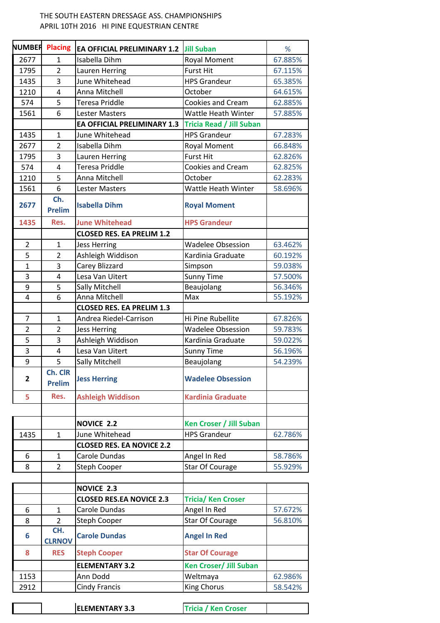## THE SOUTH EASTERN DRESSAGE ASS. CHAMPIONSHIPS APRIL 10TH 2016 HI PINE EQUESTRIAN CENTRE

| <b>NUMBER</b>  | <b>Placing</b>           | <b>EA OFFICIAL PRELIMINARY 1.2</b> | <b>Jill Suban</b>               | %       |
|----------------|--------------------------|------------------------------------|---------------------------------|---------|
| 2677           | 1                        | Isabella Dihm                      | <b>Royal Moment</b>             | 67.885% |
| 1795           | $\overline{2}$           | Lauren Herring                     | <b>Furst Hit</b>                | 67.115% |
| 1435           | 3                        | June Whitehead                     | <b>HPS Grandeur</b>             | 65.385% |
| 1210           | 4                        | Anna Mitchell                      | October                         | 64.615% |
| 574            | 5                        | <b>Teresa Priddle</b>              | Cookies and Cream               | 62.885% |
| 1561           | 6                        | Lester Masters                     | Wattle Heath Winter             | 57.885% |
|                |                          | <b>EA OFFICIAL PRELIMINARY 1.3</b> | <b>Tricia Read / Jill Suban</b> |         |
| 1435           | $\mathbf{1}$             | June Whitehead                     | <b>HPS Grandeur</b>             | 67.283% |
| 2677           | $\overline{2}$           | Isabella Dihm                      | Royal Moment                    | 66.848% |
| 1795           | 3                        | Lauren Herring                     | <b>Furst Hit</b>                | 62.826% |
| 574            | $\overline{4}$           | <b>Teresa Priddle</b>              | Cookies and Cream               | 62.825% |
| 1210           | 5                        | Anna Mitchell                      | October                         | 62.283% |
| 1561           | 6                        | <b>Lester Masters</b>              | Wattle Heath Winter             | 58.696% |
| 2677           | Ch.<br><b>Prelim</b>     | <b>Isabella Dihm</b>               | <b>Royal Moment</b>             |         |
| 1435           | Res.                     | <b>June Whitehead</b>              | <b>HPS Grandeur</b>             |         |
|                |                          | <b>CLOSED RES. EA PRELIM 1.2</b>   |                                 |         |
| $\overline{2}$ | $\mathbf{1}$             | <b>Jess Herring</b>                | <b>Wadelee Obsession</b>        | 63.462% |
| 5              | $\overline{2}$           | Ashleigh Widdison                  | Kardinia Graduate               | 60.192% |
| $\overline{1}$ | 3                        | Carey Blizzard                     | Simpson                         | 59.038% |
| 3              | $\overline{4}$           | Lesa Van Uitert                    | <b>Sunny Time</b>               | 57.500% |
| 9              | 5                        | Sally Mitchell                     | Beaujolang                      | 56.346% |
| 4              | 6                        | Anna Mitchell                      | Max                             | 55.192% |
|                |                          | <b>CLOSED RES. EA PRELIM 1.3</b>   |                                 |         |
| $\overline{7}$ | $\mathbf{1}$             | Andrea Riedel-Carrison             | Hi Pine Rubellite               | 67.826% |
| $\overline{2}$ | $\overline{2}$           | <b>Jess Herring</b>                | <b>Wadelee Obsession</b>        | 59.783% |
| 5              | 3                        | Ashleigh Widdison                  | Kardinia Graduate               | 59.022% |
| $\overline{3}$ | $\overline{4}$           | Lesa Van Uitert                    | <b>Sunny Time</b>               | 56.196% |
| 9              | 5                        | Sally Mitchell                     | Beaujolang                      | 54.239% |
| $\mathbf{2}$   | Ch. CIR<br><b>Prelim</b> | <b>Jess Herring</b>                | <b>Wadelee Obsession</b>        |         |
| 5              | Res.                     | <b>Ashleigh Widdison</b>           | <b>Kardinia Graduate</b>        |         |
|                |                          |                                    |                                 |         |
|                |                          | <b>NOVICE 2.2</b>                  | <b>Ken Croser / Jill Suban</b>  |         |
| 1435           | $\mathbf{1}$             | June Whitehead                     | <b>HPS Grandeur</b>             | 62.786% |
|                |                          | <b>CLOSED RES. EA NOVICE 2.2</b>   |                                 |         |
| 6              | 1                        | Carole Dundas                      | Angel In Red                    | 58.786% |
| 8              | 2                        | <b>Steph Cooper</b>                | Star Of Courage                 | 55.929% |
|                |                          |                                    |                                 |         |
|                |                          | <b>NOVICE 2.3</b>                  |                                 |         |
|                |                          | <b>CLOSED RES.EA NOVICE 2.3</b>    | <b>Tricia/ Ken Croser</b>       |         |
| 6              | 1                        | Carole Dundas                      | Angel In Red                    | 57.672% |
| 8              | $\overline{2}$           | Steph Cooper                       | Star Of Courage                 | 56.810% |
| 6              | CH.<br><b>CLRNOV</b>     | <b>Carole Dundas</b>               | <b>Angel In Red</b>             |         |
| 8              | <b>RES</b>               | <b>Steph Cooper</b>                | <b>Star Of Courage</b>          |         |
|                |                          | <b>ELEMENTARY 3.2</b>              | <b>Ken Croser/ Jill Suban</b>   |         |
| 1153           |                          | Ann Dodd                           | Weltmaya                        | 62.986% |
| 2912           |                          | <b>Cindy Francis</b>               | King Chorus                     | 58.542% |
|                |                          |                                    |                                 |         |

| <b>ELEMENTARY 3.3</b> | . Tricia 7 J<br>Ken Croser |  |
|-----------------------|----------------------------|--|
|                       |                            |  |